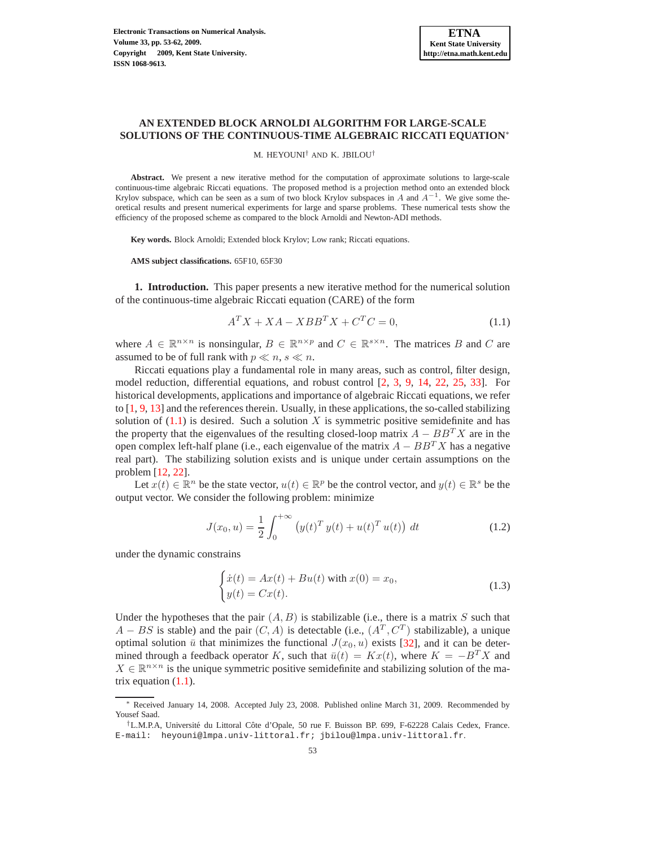# **AN EXTENDED BLOCK ARNOLDI ALGORITHM FOR LARGE-SCALE SOLUTIONS OF THE CONTINUOUS-TIME ALGEBRAIC RICCATI EQUATION**<sup>∗</sup>

M. HEYOUNI† AND K. JBILOU†

**Abstract.** We present a new iterative method for the computation of approximate solutions to large-scale continuous-time algebraic Riccati equations. The proposed method is a projection method onto an extended block Krylov subspace, which can be seen as a sum of two block Krylov subspaces in A and  $A^{-1}$ . We give some theoretical results and present numerical experiments for large and sparse problems. These numerical tests show the efficiency of the proposed scheme as compared to the block Arnoldi and Newton-ADI methods.

**Key words.** Block Arnoldi; Extended block Krylov; Low rank; Riccati equations.

**AMS subject classifications.** 65F10, 65F30

**1. Introduction.** This paper presents a new iterative method for the numerical solution of the continuous-time algebraic Riccati equation (CARE) of the form

<span id="page-0-0"></span>
$$
A^T X + X A - X B B^T X + C^T C = 0,
$$
\n
$$
(1.1)
$$

where  $A \in \mathbb{R}^{n \times n}$  is nonsingular,  $B \in \mathbb{R}^{n \times p}$  and  $C \in \mathbb{R}^{s \times n}$ . The matrices B and C are assumed to be of full rank with  $p \ll n$ ,  $s \ll n$ .

Riccati equations play a fundamental role in many areas, such as control, filter design, model reduction, differential equations, and robust control [\[2,](#page-8-0) [3,](#page-8-1) [9,](#page-8-2) [14,](#page-8-3) [22,](#page-8-4) [25,](#page-8-5) [33\]](#page-9-0). For historical developments, applications and importance of algebraic Riccati equations, we refer to [\[1,](#page-8-6) [9,](#page-8-2) [13\]](#page-8-7) and the references therein. Usually, in these applications, the so-called stabilizing solution of  $(1.1)$  is desired. Such a solution X is symmetric positive semidefinite and has the property that the eigenvalues of the resulting closed-loop matrix  $A - BB^{T}X$  are in the open complex left-half plane (i.e., each eigenvalue of the matrix  $A - BB^{T}X$  has a negative real part). The stabilizing solution exists and is unique under certain assumptions on the problem [\[12,](#page-8-8) [22\]](#page-8-4).

Let  $x(t) \in \mathbb{R}^n$  be the state vector,  $u(t) \in \mathbb{R}^p$  be the control vector, and  $y(t) \in \mathbb{R}^s$  be the output vector. We consider the following problem: minimize

$$
J(x_0, u) = \frac{1}{2} \int_0^{+\infty} (y(t)^T y(t) + u(t)^T u(t)) dt
$$
 (1.2)

under the dynamic constrains

<span id="page-0-1"></span>
$$
\begin{cases}\n\dot{x}(t) = Ax(t) + Bu(t) \text{ with } x(0) = x_0, \\
y(t) = Cx(t).\n\end{cases}
$$
\n(1.3)

Under the hypotheses that the pair  $(A, B)$  is stabilizable (i.e., there is a matrix S such that  $A - BS$  is stable) and the pair  $(C, A)$  is detectable (i.e.,  $(A<sup>T</sup>, C<sup>T</sup>)$  stabilizable), a unique optimal solution  $\bar{u}$  that minimizes the functional  $J(x_0, u)$  exists [\[32\]](#page-9-1), and it can be determined through a feedback operator K, such that  $\bar{u}(t) = Kx(t)$ , where  $K = -B^T X$  and  $X \in \mathbb{R}^{n \times n}$  is the unique symmetric positive semidefinite and stabilizing solution of the matrix equation [\(1.1\)](#page-0-0).

<sup>∗</sup> Received January 14, 2008. Accepted July 23, 2008. Published online March 31, 2009. Recommended by Yousef Saad.

<sup>&</sup>lt;sup>†</sup>L.M.P.A, Université du Littoral Côte d'Opale, 50 rue F. Buisson BP. 699, F-62228 Calais Cedex, France. E-mail: heyouni@lmpa.univ-littoral.fr; jbilou@lmpa.univ-littoral.fr.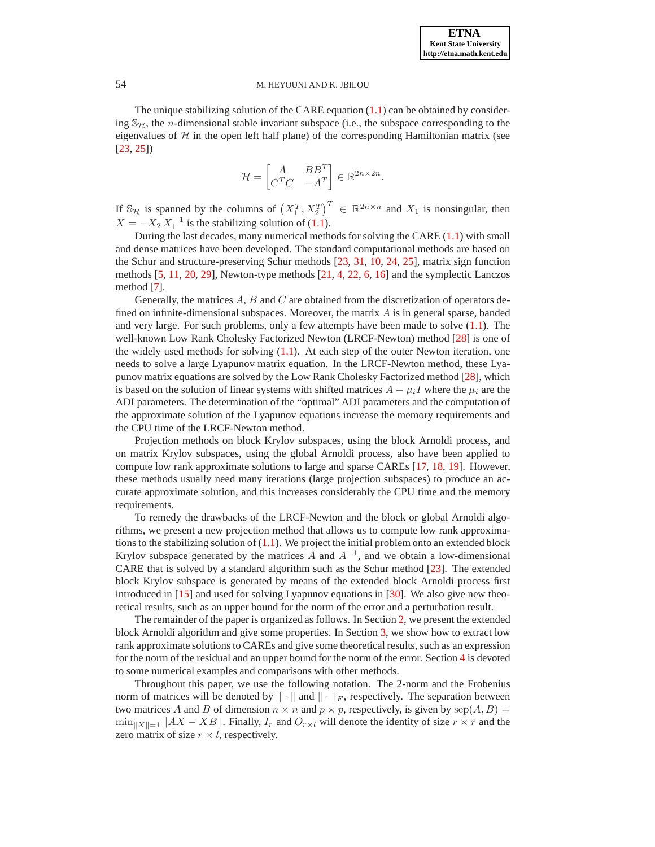The unique stabilizing solution of the CARE equation  $(1.1)$  can be obtained by considering  $\mathcal{S}_{H}$ , the *n*-dimensional stable invariant subspace (i.e., the subspace corresponding to the eigenvalues of  $H$  in the open left half plane) of the corresponding Hamiltonian matrix (see [\[23,](#page-8-9) [25\]](#page-8-5))

$$
\mathcal{H} = \begin{bmatrix} A & BB^T \\ C^T C & -A^T \end{bmatrix} \in \mathbb{R}^{2n \times 2n}.
$$

If  $\mathbb{S}_{\mathcal{H}}$  is spanned by the columns of  $(X_1^T, X_2^T)^T \in \mathbb{R}^{2n \times n}$  and  $X_1$  is nonsingular, then  $X = -X_2 X_1^{-1}$  is the stabilizing solution of [\(1.1\)](#page-0-0).

During the last decades, many numerical methods for solving the CARE [\(1.1\)](#page-0-0) with small and dense matrices have been developed. The standard computational methods are based on the Schur and structure-preserving Schur methods [\[23,](#page-8-9) [31,](#page-9-2) [10,](#page-8-10) [24,](#page-8-11) [25\]](#page-8-5), matrix sign function methods [\[5,](#page-8-12) [11,](#page-8-13) [20,](#page-8-14) [29\]](#page-9-3), Newton-type methods [\[21,](#page-8-15) [4,](#page-8-16) [22,](#page-8-4) [6,](#page-8-17) [16\]](#page-8-18) and the symplectic Lanczos method [\[7\]](#page-8-19).

Generally, the matrices  $A$ ,  $B$  and  $C$  are obtained from the discretization of operators defined on infinite-dimensional subspaces. Moreover, the matrix  $\vec{A}$  is in general sparse, banded and very large. For such problems, only a few attempts have been made to solve  $(1.1)$ . The well-known Low Rank Cholesky Factorized Newton (LRCF-Newton) method [\[28\]](#page-9-4) is one of the widely used methods for solving [\(1.1\)](#page-0-0). At each step of the outer Newton iteration, one needs to solve a large Lyapunov matrix equation. In the LRCF-Newton method, these Lyapunov matrix equations are solved by the Low Rank Cholesky Factorized method [\[28\]](#page-9-4), which is based on the solution of linear systems with shifted matrices  $A - \mu_i I$  where the  $\mu_i$  are the ADI parameters. The determination of the "optimal" ADI parameters and the computation of the approximate solution of the Lyapunov equations increase the memory requirements and the CPU time of the LRCF-Newton method.

Projection methods on block Krylov subspaces, using the block Arnoldi process, and on matrix Krylov subspaces, using the global Arnoldi process, also have been applied to compute low rank approximate solutions to large and sparse CAREs [\[17,](#page-8-20) [18,](#page-8-21) [19\]](#page-8-22). However, these methods usually need many iterations (large projection subspaces) to produce an accurate approximate solution, and this increases considerably the CPU time and the memory requirements.

To remedy the drawbacks of the LRCF-Newton and the block or global Arnoldi algorithms, we present a new projection method that allows us to compute low rank approximations to the stabilizing solution of  $(1.1)$ . We project the initial problem onto an extended block Krylov subspace generated by the matrices A and  $A^{-1}$ , and we obtain a low-dimensional CARE that is solved by a standard algorithm such as the Schur method [\[23\]](#page-8-9). The extended block Krylov subspace is generated by means of the extended block Arnoldi process first introduced in [\[15\]](#page-8-23) and used for solving Lyapunov equations in [\[30\]](#page-9-5). We also give new theoretical results, such as an upper bound for the norm of the error and a perturbation result.

The remainder of the paper is organized as follows. In Section [2,](#page-2-0) we present the extended block Arnoldi algorithm and give some properties. In Section [3,](#page-3-0) we show how to extract low rank approximate solutions to CAREs and give some theoretical results, such as an expression for the norm of the residual and an upper bound for the norm of the error. Section [4](#page-6-0) is devoted to some numerical examples and comparisons with other methods.

Throughout this paper, we use the following notation. The 2-norm and the Frobenius norm of matrices will be denoted by  $\|\cdot\|$  and  $\|\cdot\|_F$ , respectively. The separation between two matrices A and B of dimension  $n \times n$  and  $p \times p$ , respectively, is given by  $\text{sep}(A, B)$  =  $\min_{\|X\|=1} \|AX - XB\|$ . Finally,  $I_r$  and  $O_{r\times l}$  will denote the identity of size  $r \times r$  and the zero matrix of size  $r \times l$ , respectively.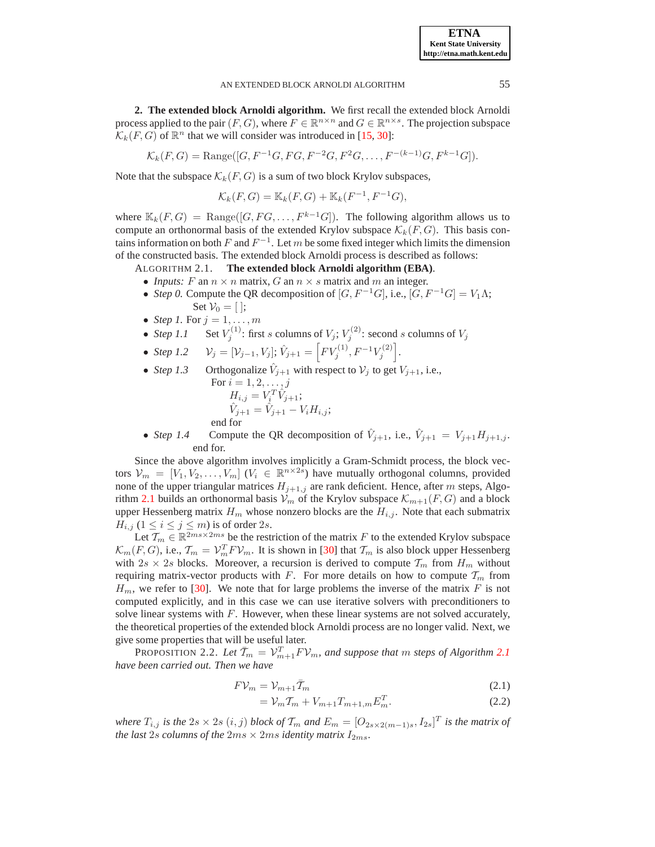**ETNA Kent State University http://etna.math.kent.edu**

### AN EXTENDED BLOCK ARNOLDI ALGORITHM 55

<span id="page-2-0"></span>**2. The extended block Arnoldi algorithm.** We first recall the extended block Arnoldi process applied to the pair  $(F, G)$ , where  $F \in \mathbb{R}^{n \times n}$  and  $G \in \mathbb{R}^{n \times s}$ . The projection subspace  $\mathcal{K}_k(F, G)$  of  $\mathbb{R}^n$  that we will consider was introduced in [\[15,](#page-8-23) [30\]](#page-9-5):

$$
\mathcal{K}_k(F,G) = \text{Range}([G, F^{-1}G, FG, F^{-2}G, F^2G, \dots, F^{-(k-1)}G, F^{k-1}G]).
$$

Note that the subspace  $\mathcal{K}_k(F, G)$  is a sum of two block Krylov subspaces,

$$
\mathcal{K}_k(F,G) = \mathbb{K}_k(F,G) + \mathbb{K}_k(F^{-1}, F^{-1}G),
$$

where  $\mathbb{K}_k(F, G) = \text{Range}([G, FG, \ldots, F^{k-1}G])$ . The following algorithm allows us to compute an orthonormal basis of the extended Krylov subspace  $\mathcal{K}_k(F, G)$ . This basis contains information on both F and  $F^{-1}$ . Let m be some fixed integer which limits the dimension of the constructed basis. The extended block Arnoldi process is described as follows:

<span id="page-2-1"></span>ALGORITHM 2.1. **The extended block Arnoldi algorithm (EBA)**.

- *Inputs:* F an  $n \times n$  matrix, G an  $n \times s$  matrix and m an integer.
- *Step 0.* Compute the QR decomposition of  $[G, F^{-1}G]$ , i.e.,  $[G, F^{-1}G] = V_1 \Lambda$ ; Set  $V_0 = [$  :
- *Step 1*. For  $j = 1, \ldots, m$
- *Step 1.1* Set  $V_j^{(1)}$ : first s columns of  $V_j$ ;  $V_j^{(2)}$ : second s columns of  $V_j$
- *Step 1.2*  $\mathcal{V}_j = [\mathcal{V}_{j-1}, V_j]; \hat{V}_{j+1} = [F V_j^{(1)}, F^{-1} V_j^{(2)}].$
- *Step 1.3* Orthogonalize  $\hat{V}_{j+1}$  with respect to  $V_j$  to get  $V_{j+1}$ , i.e., For  $i = 1, 2, ..., j$

$$
H_{i,j} = V_i^T \hat{V}_{j+1};
$$
  
\n
$$
\hat{V}_{j+1} = \hat{V}_{j+1} - V_i H_{i,j};
$$
  
\nend for

• *Step 1.4* Compute the QR decomposition of  $\hat{V}_{j+1}$ , i.e.,  $\hat{V}_{j+1} = V_{j+1}H_{j+1,j}$ . end for.

Since the above algorithm involves implicitly a Gram-Schmidt process, the block vectors  $V_m = [V_1, V_2, \dots, V_m]$   $(V_i \in \mathbb{R}^{n \times 2s})$  have mutually orthogonal columns, provided none of the upper triangular matrices  $H_{j+1,j}$  are rank deficient. Hence, after m steps, Algo-rithm [2.1](#page-2-1) builds an orthonormal basis  $\mathcal{V}_m$  of the Krylov subspace  $\mathcal{K}_{m+1}(F, G)$  and a block upper Hessenberg matrix  $H_m$  whose nonzero blocks are the  $H_{i,j}$ . Note that each submatrix  $H_{i,j}$   $(1 \leq i \leq j \leq m)$  is of order 2s.

Let  $\mathcal{T}_m \in \mathbb{R}^{2ms \times 2ms}$  be the restriction of the matrix F to the extended Krylov subspace  $\mathcal{K}_m(F, G)$ , i.e.,  $\mathcal{T}_m = \mathcal{V}_m^T F \mathcal{V}_m$ . It is shown in [\[30\]](#page-9-5) that  $\mathcal{T}_m$  is also block upper Hessenberg with  $2s \times 2s$  blocks. Moreover, a recursion is derived to compute  $\mathcal{T}_m$  from  $H_m$  without requiring matrix-vector products with F. For more details on how to compute  $T_m$  from  $H_m$ , we refer to [\[30\]](#page-9-5). We note that for large problems the inverse of the matrix F is not computed explicitly, and in this case we can use iterative solvers with preconditioners to solve linear systems with  $F$ . However, when these linear systems are not solved accurately, the theoretical properties of the extended block Arnoldi process are no longer valid. Next, we give some properties that will be useful later.

<span id="page-2-2"></span>PROPOSITION 2.2. Let  $\bar{T}_m = \mathcal{V}_{m+1}^T F \mathcal{V}_m$ , and suppose that m steps of Algorithm [2.1](#page-2-1) *have been carried out. Then we have*

$$
F\mathcal{V}_m = \mathcal{V}_{m+1}\bar{\mathcal{T}}_m \tag{2.1}
$$

$$
= V_m T_m + V_{m+1} T_{m+1,m} E_m^T.
$$
\n(2.2)

where  $T_{i,j}$  is the  $2s \times 2s$   $(i,j)$  block of  $\mathcal{T}_m$  and  $E_m = [O_{2s \times 2(m-1)s}, I_{2s}]^T$  is the matrix of *the last* 2s *columns of the*  $2ms \times 2ms$  *identity matrix*  $I_{2ms}$ *.*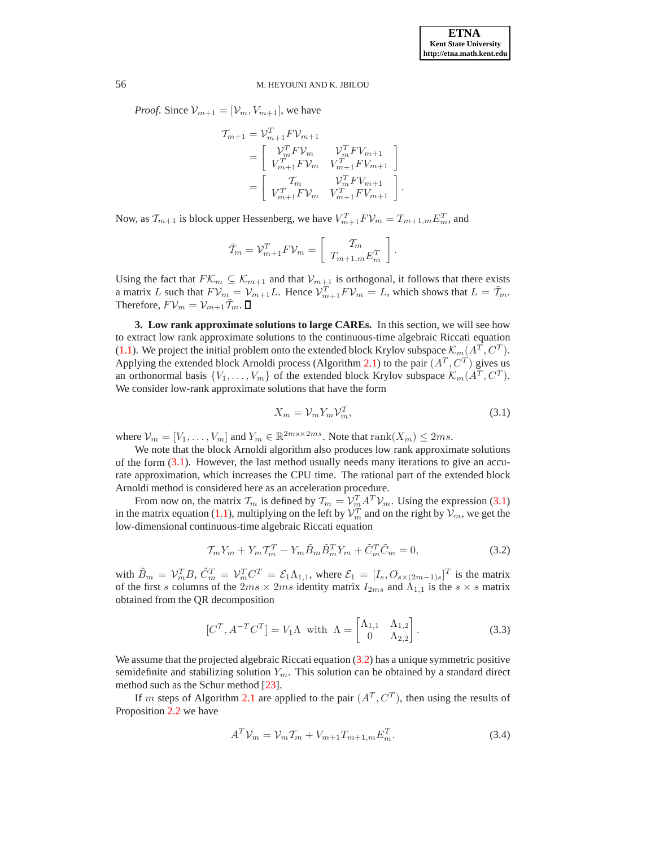*Proof.* Since  $V_{m+1} = [V_m, V_{m+1}]$ , we have

$$
\begin{aligned}\n\mathcal{T}_{m+1} &= \mathcal{V}_{m+1}^T F \mathcal{V}_{m+1} \\
&= \begin{bmatrix}\n\mathcal{V}_m^T F \mathcal{V}_m & \mathcal{V}_m^T F \mathcal{V}_{m+1} \\
\mathcal{V}_{m+1}^T F \mathcal{V}_m & \mathcal{V}_{m+1}^T F \mathcal{V}_{m+1}\n\end{bmatrix} \\
&= \begin{bmatrix}\n\mathcal{T}_m & \mathcal{V}_m^T F \mathcal{V}_{m+1} \\
\mathcal{V}_{m+1}^T F \mathcal{V}_m & \mathcal{V}_{m+1}^T F \mathcal{V}_{m+1}\n\end{bmatrix}\n\end{aligned}
$$

Now, as  $\mathcal{T}_{m+1}$  is block upper Hessenberg, we have  $V_{m+1}^T F V_m = T_{m+1,m} E_m^T$ , and

$$
\bar{\mathcal{I}}_{m} = \mathcal{V}_{m+1}^T F \mathcal{V}_{m} = \left[ \begin{array}{c} \mathcal{I}_{m} \\ T_{m+1,m} E_m^T \end{array} \right].
$$

Using the fact that  $FK_m \subseteq \mathcal{K}_{m+1}$  and that  $\mathcal{V}_{m+1}$  is orthogonal, it follows that there exists a matrix L such that  $FV_{m} = V_{m+1}L$ . Hence  $V_{m+1}^T FV_m = L$ , which shows that  $L = \bar{T}_m$ . Therefore,  $F_vu_m = v_{m+1}\bar{T}_m$ .

<span id="page-3-0"></span>**3. Low rank approximate solutions to large CAREs.** In this section, we will see how to extract low rank approximate solutions to the continuous-time algebraic Riccati equation [\(1.1\)](#page-0-0). We project the initial problem onto the extended block Krylov subspace  $\mathcal{K}_m(A^T, C^T)$ . Applying the extended block Arnoldi process (Algorithm [2.1\)](#page-2-1) to the pair  $(A<sup>T</sup>, C<sup>T</sup>)$  gives us an orthonormal basis  $\{V_1, \ldots, V_m\}$  of the extended block Krylov subspace  $\mathcal{K}_m(A^T, C^T)$ . We consider low-rank approximate solutions that have the form

<span id="page-3-1"></span>
$$
X_m = \mathcal{V}_m Y_m \mathcal{V}_m^T,\tag{3.1}
$$

.

where  $\mathcal{V}_m = [V_1, \dots, V_m]$  and  $Y_m \in \mathbb{R}^{2ms \times 2ms}$ . Note that  $\text{rank}(X_m) \leq 2ms$ .

We note that the block Arnoldi algorithm also produces low rank approximate solutions of the form [\(3.1\)](#page-3-1). However, the last method usually needs many iterations to give an accurate approximation, which increases the CPU time. The rational part of the extended block Arnoldi method is considered here as an acceleration procedure.

From now on, the matrix  $\mathcal{T}_m$  is defined by  $\mathcal{T}_m = \mathcal{V}_m^T A^T \mathcal{V}_m$ . Using the expression [\(3.1\)](#page-3-1) in the matrix equation [\(1.1\)](#page-0-0), multiplying on the left by  $\mathcal{V}_m^T$  and on the right by  $\mathcal{V}_m$ , we get the low-dimensional continuous-time algebraic Riccati equation

<span id="page-3-2"></span>
$$
\mathcal{T}_m Y_m + Y_m \mathcal{T}_m^T - Y_m \tilde{B}_m \tilde{B}_m^T Y_m + \tilde{C}_m^T \tilde{C}_m = 0,
$$
\n(3.2)

with  $\tilde{B}_m = V_m^T B$ ,  $\tilde{C}_m^T = V_m^T C^T = \mathcal{E}_1 \Lambda_{1,1}$ , where  $\mathcal{E}_1 = [I_s, O_{s \times (2m-1)s}]^T$  is the matrix of the first s columns of the  $2ms \times 2ms$  identity matrix  $I_{2ms}$  and  $\Lambda_{1,1}$  is the  $s \times s$  matrix obtained from the QR decomposition

<span id="page-3-4"></span>
$$
[C^T, A^{-T}C^T] = V_1 \Lambda \text{ with } \Lambda = \begin{bmatrix} \Lambda_{1,1} & \Lambda_{1,2} \\ 0 & \Lambda_{2,2} \end{bmatrix}.
$$
 (3.3)

We assume that the projected algebraic Riccati equation [\(3.2\)](#page-3-2) has a unique symmetric positive semidefinite and stabilizing solution  $Y_m$ . This solution can be obtained by a standard direct method such as the Schur method [\[23\]](#page-8-9).

If m steps of Algorithm [2.1](#page-2-1) are applied to the pair  $(A<sup>T</sup>, C<sup>T</sup>)$ , then using the results of Proposition [2.2](#page-2-2) we have

<span id="page-3-3"></span>
$$
A^T \mathcal{V}_m = \mathcal{V}_m T_m + V_{m+1} T_{m+1,m} E_m^T.
$$
 (3.4)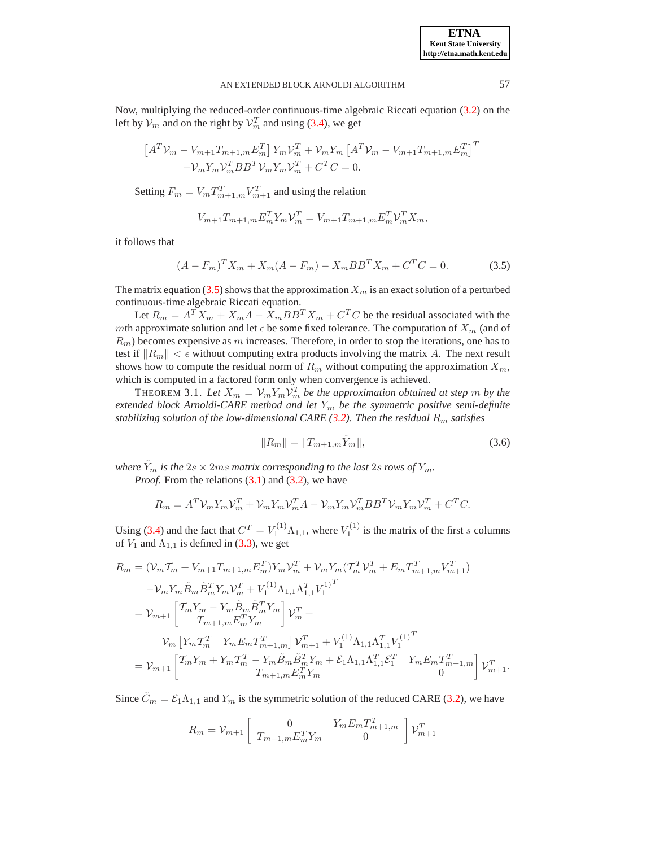Now, multiplying the reduced-order continuous-time algebraic Riccati equation [\(3.2\)](#page-3-2) on the left by  $\mathcal{V}_m$  and on the right by  $\mathcal{V}_m^T$  and using [\(3.4\)](#page-3-3), we get

$$
\begin{aligned} \left[A^T \mathcal{V}_m - V_{m+1} T_{m+1,m} E_m^T\right] Y_m \mathcal{V}_m^T + \mathcal{V}_m Y_m \left[A^T \mathcal{V}_m - V_{m+1} T_{m+1,m} E_m^T\right]^T \\ - \mathcal{V}_m Y_m \mathcal{V}_m^T B B^T \mathcal{V}_m Y_m \mathcal{V}_m^T + C^T C = 0. \end{aligned}
$$

Setting  $F_m = V_m T_{m+1,m}^T V_{m+1}^T$  and using the relation

$$
V_{m+1}T_{m+1,m}E_m^T Y_m \mathcal{V}_m^T = V_{m+1}T_{m+1,m}E_m^T \mathcal{V}_m^T X_m,
$$

it follows that

<span id="page-4-0"></span>
$$
(A - F_m)^T X_m + X_m (A - F_m) - X_m B B^T X_m + C^T C = 0.
$$
 (3.5)

The matrix equation [\(3.5\)](#page-4-0) shows that the approximation  $X_m$  is an exact solution of a perturbed continuous-time algebraic Riccati equation.

Let  $R_m = A^T X_m + X_m A - X_m B B^T X_m + C^T C$  be the residual associated with the mth approximate solution and let  $\epsilon$  be some fixed tolerance. The computation of  $X_m$  (and of  $R_m$ ) becomes expensive as m increases. Therefore, in order to stop the iterations, one has to test if  $||R_m|| < \epsilon$  without computing extra products involving the matrix A. The next result shows how to compute the residual norm of  $R_m$  without computing the approximation  $X_m$ , which is computed in a factored form only when convergence is achieved.

<span id="page-4-1"></span>THEOREM 3.1. Let  $X_m = V_m Y_m V_m^T$  be the approximation obtained at step  $m$  by the *extended block Arnoldi-CARE method and let* Y<sup>m</sup> *be the symmetric positive semi-definite stabilizing solution of the low-dimensional CARE* [\(3.2\)](#page-3-2)*. Then the residual*  $R_m$  *satisfies* 

$$
||R_m|| = ||T_{m+1,m}\tilde{Y}_m||,
$$
\n(3.6)

*where*  $\tilde{Y}_m$  *is the*  $2s \times 2ms$  *matrix corresponding to the last*  $2s$  *rows of*  $Y_m$ *.* 

*Proof.* From the relations [\(3.1\)](#page-3-1) and [\(3.2\)](#page-3-2), we have

$$
R_m = A^T \mathcal{V}_m Y_m \mathcal{V}_m^T + \mathcal{V}_m Y_m \mathcal{V}_m^T A - \mathcal{V}_m Y_m \mathcal{V}_m^T B B^T \mathcal{V}_m Y_m \mathcal{V}_m^T + C^T C.
$$

Using [\(3.4\)](#page-3-3) and the fact that  $C^T = V_1^{(1)} \Lambda_{1,1}$ , where  $V_1^{(1)}$  is the matrix of the first s columns of  $V_1$  and  $\Lambda_{1,1}$  is defined in [\(3.3\)](#page-3-4), we get

$$
R_{m} = (\mathcal{V}_{m}T_{m} + V_{m+1}T_{m+1,m}E_{m}^{T})Y_{m}\mathcal{V}_{m}^{T} + \mathcal{V}_{m}Y_{m}(T_{m}^{T}\mathcal{V}_{m}^{T} + E_{m}T_{m+1,m}^{T}\mathcal{V}_{m+1}^{T})
$$
  
\n
$$
- \mathcal{V}_{m}Y_{m}\tilde{B}_{m}\tilde{B}_{m}^{T}Y_{m}\mathcal{V}_{m}^{T} + V_{1}^{(1)}\Lambda_{1,1}\Lambda_{1,1}^{T}\mathcal{V}_{1}^{1})^{T}
$$
  
\n
$$
= \mathcal{V}_{m+1}\left[\begin{matrix}\nT_{m}Y_{m} - Y_{m}\tilde{B}_{m}\tilde{B}_{m}^{T}Y_{m} \\
T_{m+1,m}E_{m}^{T}Y_{m}\n\end{matrix}\right]\mathcal{V}_{m}^{T} +
$$
  
\n
$$
\mathcal{V}_{m}\left[Y_{m}T_{m}^{T} Y_{m}E_{m}T_{m+1,m}^{T}\right]\mathcal{V}_{m+1}^{T} + V_{1}^{(1)}\Lambda_{1,1}\Lambda_{1,1}^{T}\mathcal{V}_{1}^{(1)^{T}}
$$
  
\n
$$
= \mathcal{V}_{m+1}\left[\begin{matrix}\nT_{m}Y_{m} + Y_{m}T_{m}^{T} - Y_{m}\tilde{B}_{m}\tilde{B}_{m}^{T}Y_{m} + \mathcal{E}_{1}\Lambda_{1,1}\Lambda_{1,1}^{T}\mathcal{E}_{1}^{T} & Y_{m}E_{m}T_{m+1,m}^{T}\n\end{matrix}\right]\mathcal{V}_{m+1}^{T}.
$$

Since  $\tilde{C}_m = \mathcal{E}_1 \Lambda_{1,1}$  and  $Y_m$  is the symmetric solution of the reduced CARE [\(3.2\)](#page-3-2), we have

$$
R_m = V_{m+1} \begin{bmatrix} 0 & Y_m E_m T_{m+1,m}^T \\ T_{m+1,m} E_m^T Y_m & 0 \end{bmatrix} V_{m+1}^T
$$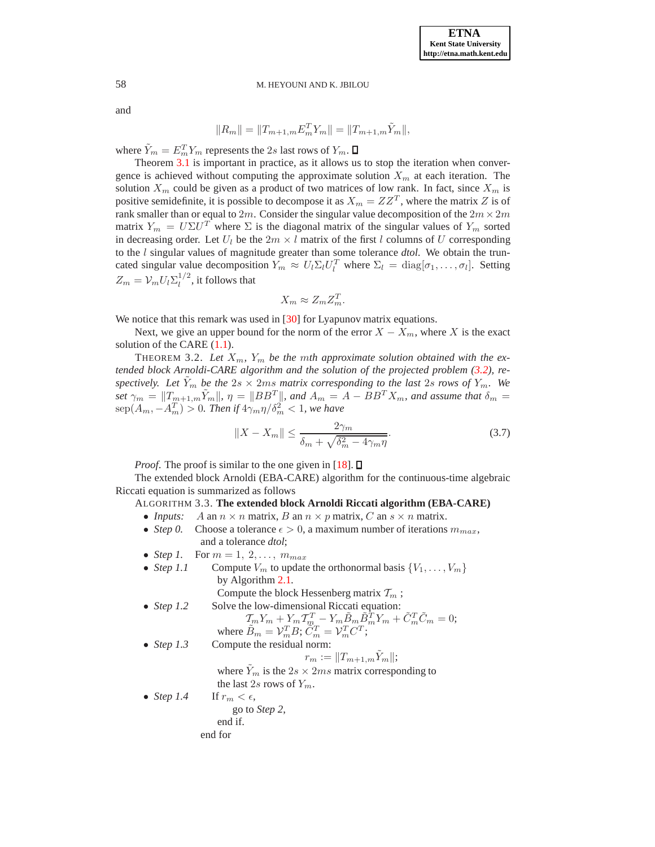and

$$
||R_m|| = ||T_{m+1,m}E_m^T Y_m|| = ||T_{m+1,m}\tilde{Y}_m||,
$$

where  $\tilde{Y}_m = E_m^T Y_m$  represents the 2s last rows of  $Y_m$ .

Theorem [3.1](#page-4-1) is important in practice, as it allows us to stop the iteration when convergence is achieved without computing the approximate solution  $X_m$  at each iteration. The solution  $X_m$  could be given as a product of two matrices of low rank. In fact, since  $X_m$  is positive semidefinite, it is possible to decompose it as  $X_m = ZZ^T$ , where the matrix Z is of rank smaller than or equal to  $2m$ . Consider the singular value decomposition of the  $2m \times 2m$ matrix  $Y_m = U\Sigma U^T$  where  $\Sigma$  is the diagonal matrix of the singular values of  $Y_m$  sorted in decreasing order. Let  $U_l$  be the  $2m \times l$  matrix of the first l columns of U corresponding to the l singular values of magnitude greater than some tolerance *dtol*. We obtain the truncated singular value decomposition  $Y_m \approx U_l \Sigma_l U_l^T$  where  $\Sigma_l = \text{diag}[\sigma_1, \dots, \sigma_l]$ . Setting  $Z_m = \mathcal{V}_m U_l \Sigma_l^{1/2}$  $\frac{1}{l}$ , it follows that

$$
X_m \approx Z_m Z_m^T.
$$

We notice that this remark was used in [\[30\]](#page-9-5) for Lyapunov matrix equations.

Next, we give an upper bound for the norm of the error  $X - X_m$ , where X is the exact solution of the CARE  $(1.1)$ .

THEOREM 3.2. Let  $X_m$ ,  $Y_m$  be the mth approximate solution obtained with the ex*tended block Arnoldi-CARE algorithm and the solution of the projected problem [\(3.2\)](#page-3-2), respectively. Let*  $\tilde{Y}_m$  *be the*  $2s \times 2ms$  *matrix corresponding to the last*  $2s$  *rows of*  $Y_m$ *. We set*  $\gamma_m = ||T_{m+1,m}\tilde{Y}_m||$ ,  $\eta = ||BB^T||$ , and  $A_m = A - BB^T X_m$ , and assume that  $\delta_m =$  $\text{sep}(A_m,-A_m^T) > 0$ . Then if  $4\gamma_m\eta/\delta_m^2 < 1$ , we have

$$
||X - X_m|| \le \frac{2\gamma_m}{\delta_m + \sqrt{\delta_m^2 - 4\gamma_m \eta}}.\tag{3.7}
$$

*Proof.* The proof is similar to the one given in [\[18\]](#page-8-21).  $\Box$ 

<span id="page-5-0"></span>The extended block Arnoldi (EBA-CARE) algorithm for the continuous-time algebraic Riccati equation is summarized as follows

### ALGORITHM 3.3. **The extended block Arnoldi Riccati algorithm (EBA-CARE)**

- *Inputs:* A an  $n \times n$  matrix, B an  $n \times p$  matrix, C an  $s \times n$  matrix.
- *Step 0.* Choose a tolerance  $\epsilon > 0$ , a maximum number of iterations  $m_{max}$ , and a tolerance *dtol*;
- *Step 1.* For  $m = 1, 2, \ldots, m_{max}$
- *Step 1.1* Compute  $V_m$  to update the orthonormal basis  $\{V_1, \ldots, V_m\}$ by Algorithm [2.1.](#page-2-1) Compute the block Hessenberg matrix  $\mathcal{T}_m$ ;

• Step 1.2 Solve the low-dimensional Riccati equation:\n
$$
\begin{bmatrix}\n a & b \\
 c & d\n \end{bmatrix}
$$

$$
\mathcal{T}_m Y_m + Y_m \mathcal{T}_m^T - Y_m \tilde{B}_m \tilde{B}_m^T Y_m + \tilde{C}_m^T \tilde{C}_m = 0;
$$
  
where  $\tilde{B}_m = \mathcal{V}_m^T B$ ;  $C_m^T = \mathcal{V}_m^T C^T$ ;

• *Step 1.3* Compute the residual norm:

$$
r_m := ||T_{m+1,m}\tilde{Y}_m||;
$$

where  $\tilde{Y}_m$  is the  $2s \times 2ms$  matrix corresponding to the last 2s rows of  $Y_m$ .

• *Step 1.4* If  $r_m < \epsilon$ , go to *Step 2*, end if.

end for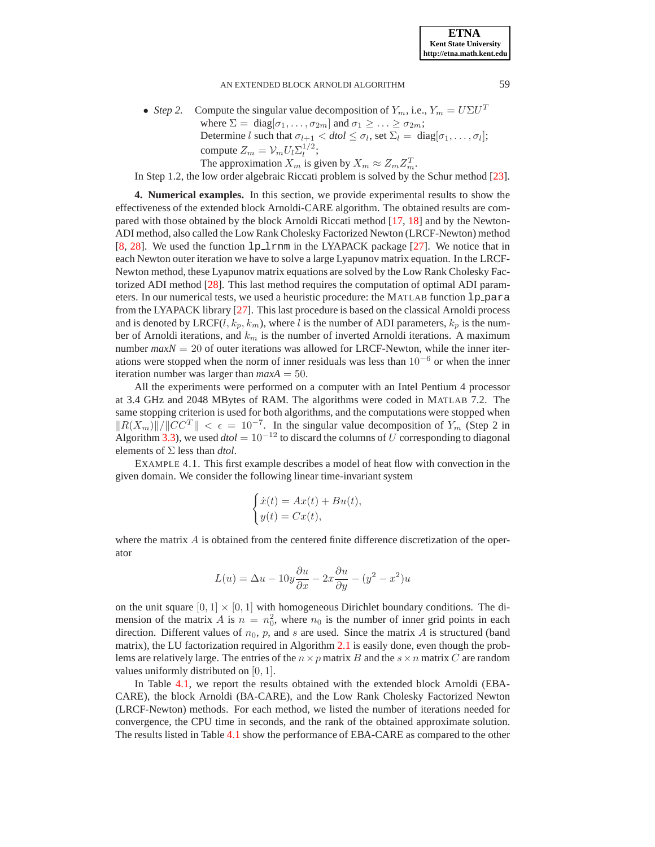### AN EXTENDED BLOCK ARNOLDI ALGORITHM 59

• *Step 2.* Compute the singular value decomposition of  $Y_m$ , i.e.,  $Y_m = U\Sigma U^T$ where  $\Sigma = \text{diag}[\sigma_1, \ldots, \sigma_{2m}]$  and  $\sigma_1 \geq \ldots \geq \sigma_{2m}$ ; Determine *l* such that  $\sigma_{l+1} < dtol \leq \sigma_l$ , set  $\Sigma_l = \text{diag}[\sigma_1, \ldots, \sigma_l]$ ; compute  $Z_m = \mathcal{V}_m U_l \Sigma_l^{1/2}$  $i^{1/2}$ ; The approximation  $X_m$  is given by  $X_m \approx Z_m Z_m^T$ .

In Step 1.2, the low order algebraic Riccati problem is solved by the Schur method [\[23\]](#page-8-9).

<span id="page-6-0"></span>**4. Numerical examples.** In this section, we provide experimental results to show the effectiveness of the extended block Arnoldi-CARE algorithm. The obtained results are compared with those obtained by the block Arnoldi Riccati method [\[17,](#page-8-20) [18\]](#page-8-21) and by the Newton-ADI method, also called the Low Rank Cholesky Factorized Newton (LRCF-Newton) method [\[8,](#page-8-24) [28\]](#page-9-4). We used the function 1p\_1rnm in the LYAPACK package [\[27\]](#page-9-6). We notice that in each Newton outer iteration we have to solve a large Lyapunov matrix equation. In the LRCF-Newton method, these Lyapunov matrix equations are solved by the Low Rank Cholesky Factorized ADI method [\[28\]](#page-9-4). This last method requires the computation of optimal ADI parameters. In our numerical tests, we used a heuristic procedure: the MATLAB function  $1p\_para$ from the LYAPACK library [\[27\]](#page-9-6). This last procedure is based on the classical Arnoldi process and is denoted by LRCF(l,  $k_p$ ,  $k_m$ ), where l is the number of ADI parameters,  $k_p$  is the number of Arnoldi iterations, and  $k_m$  is the number of inverted Arnoldi iterations. A maximum number  $maxN = 20$  of outer iterations was allowed for LRCF-Newton, while the inner iterations were stopped when the norm of inner residuals was less than  $10^{-6}$  or when the inner iteration number was larger than  $maxA = 50$ .

All the experiments were performed on a computer with an Intel Pentium 4 processor at 3.4 GHz and 2048 MBytes of RAM. The algorithms were coded in MATLAB 7.2. The same stopping criterion is used for both algorithms, and the computations were stopped when  $||R(X_m)||/||CC^T|| < \epsilon = 10^{-7}$ . In the singular value decomposition of  $Y_m$  (Step 2 in Algorithm [3.3\)](#page-5-0), we used  $dtol = 10^{-12}$  to discard the columns of U corresponding to diagonal elements of Σ less than *dtol*.

<span id="page-6-1"></span>EXAMPLE 4.1. This first example describes a model of heat flow with convection in the given domain. We consider the following linear time-invariant system

$$
\begin{cases}\n\dot{x}(t) = Ax(t) + Bu(t), \\
y(t) = Cx(t),\n\end{cases}
$$

where the matrix  $A$  is obtained from the centered finite difference discretization of the operator

$$
L(u) = \Delta u - 10y \frac{\partial u}{\partial x} - 2x \frac{\partial u}{\partial y} - (y^2 - x^2)u
$$

on the unit square  $[0, 1] \times [0, 1]$  with homogeneous Dirichlet boundary conditions. The dimension of the matrix A is  $n = n_0^2$ , where  $n_0$  is the number of inner grid points in each direction. Different values of  $n_0$ ,  $p$ , and  $s$  are used. Since the matrix  $A$  is structured (band matrix), the LU factorization required in Algorithm [2.1](#page-2-1) is easily done, even though the problems are relatively large. The entries of the  $n \times p$  matrix B and the  $s \times n$  matrix C are random values uniformly distributed on [0, 1].

In Table [4.1,](#page-7-0) we report the results obtained with the extended block Arnoldi (EBA-CARE), the block Arnoldi (BA-CARE), and the Low Rank Cholesky Factorized Newton (LRCF-Newton) methods. For each method, we listed the number of iterations needed for convergence, the CPU time in seconds, and the rank of the obtained approximate solution. The results listed in Table [4.1](#page-7-0) show the performance of EBA-CARE as compared to the other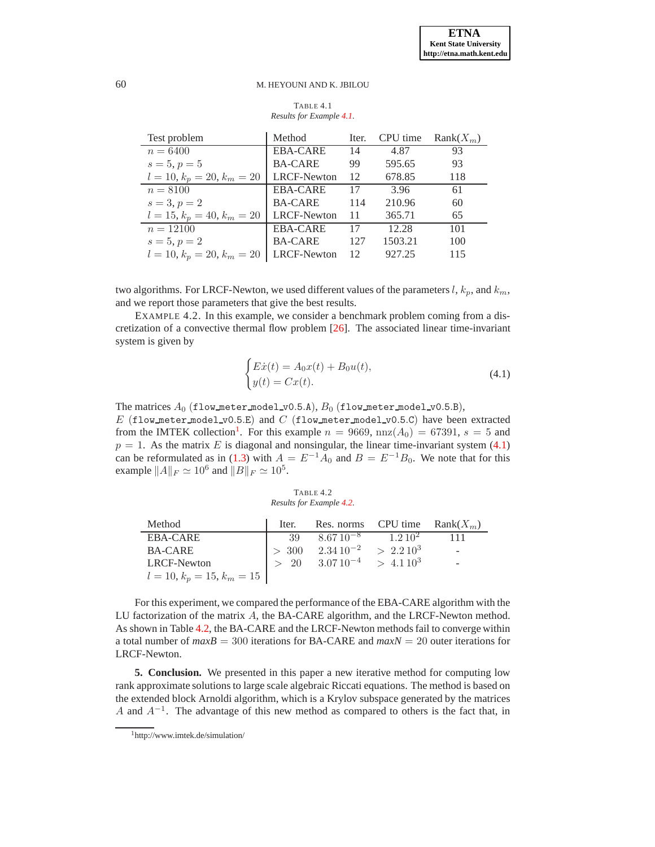<span id="page-7-0"></span>TABLE 4.1 *Results for Example [4.1.](#page-6-1)*

| Test problem                 | Method             | Iter. | CPU time | $Rank(X_m)$ |
|------------------------------|--------------------|-------|----------|-------------|
| $n = 6400$                   | <b>EBA-CARE</b>    | 14    | 4.87     | 93          |
| $s = 5, p = 5$               | <b>BA-CARE</b>     | 99    | 595.65   | 93          |
| $l = 10, k_p = 20, k_m = 20$ | <b>LRCF-Newton</b> | 12    | 678.85   | 118         |
| $n = 8100$                   | EBA-CARE           | 17    | 3.96     | 61          |
| $s = 3, p = 2$               | <b>BA-CARE</b>     | 114   | 210.96   | 60          |
| $l = 15, k_p = 40, k_m = 20$ | <b>LRCF-Newton</b> | 11    | 365.71   | 65          |
| $n = 12100$                  | <b>EBA-CARE</b>    | 17    | 12.28    | 101         |
| $s=5, p=2$                   | <b>BA-CARE</b>     | 127   | 1503.21  | 100         |
| $l = 10, k_p = 20, k_m = 20$ | LRCF-Newton        | 12    | 927.25   | 115         |

<span id="page-7-3"></span>two algorithms. For LRCF-Newton, we used different values of the parameters  $l, k_p$ , and  $k_m$ , and we report those parameters that give the best results.

EXAMPLE 4.2. In this example, we consider a benchmark problem coming from a discretization of a convective thermal flow problem [\[26\]](#page-8-25). The associated linear time-invariant system is given by

<span id="page-7-2"></span>
$$
\begin{cases}\nE\dot{x}(t) = A_0 x(t) + B_0 u(t), \\
y(t) = Cx(t).\n\end{cases}
$$
\n(4.1)

The matrices  $A_0$  (flow meter model v0.5.A),  $B_0$  (flow meter model v0.5.B), E (flow meter model v0.5.E) and C (flow meter model v0.5.C) have been extracted from the IMTEK collection<sup>[1](#page-7-1)</sup>. For this example  $n = 9669$ ,  $nnz(A_0) = 67391$ ,  $s = 5$  and  $p = 1$ . As the matrix E is diagonal and nonsingular, the linear time-invariant system [\(4.1\)](#page-7-2) can be reformulated as in [\(1.3\)](#page-0-1) with  $A = E^{-1}A_0$  and  $B = E^{-1}B_0$ . We note that for this example  $||A||_F \simeq 10^6$  and  $||B||_F \simeq 10^5$ .

<span id="page-7-4"></span>TABLE 4.2 *Results for Example [4.2.](#page-7-3)*

| Method                       | Iter. | Res. norms CPU time Rank $(X_m)$             |     |
|------------------------------|-------|----------------------------------------------|-----|
| EBA-CARE                     | - 39  | $8.6710^{-8}$ $1.210^{2}$                    | 111 |
| <b>BA-CARE</b>               |       | $>$ 300 $2.3410^{-2}$ $>$ 2.210 <sup>3</sup> | -   |
| LRCF-Newton                  |       | $> 20$ $3.0710^{-4}$ $> 4.110^{3}$           |     |
| $l = 10, k_p = 15, k_m = 15$ |       |                                              |     |

For this experiment, we compared the performance of the EBA-CARE algorithm with the LU factorization of the matrix A, the BA-CARE algorithm, and the LRCF-Newton method. As shown in Table [4.2,](#page-7-4) the BA-CARE and the LRCF-Newton methods fail to converge within a total number of *maxB* = 300 iterations for BA-CARE and *maxN* = 20 outer iterations for LRCF-Newton.

**5. Conclusion.** We presented in this paper a new iterative method for computing low rank approximate solutions to large scale algebraic Riccati equations. The method is based on the extended block Arnoldi algorithm, which is a Krylov subspace generated by the matrices A and  $A^{-1}$ . The advantage of this new method as compared to others is the fact that, in

<span id="page-7-1"></span><sup>1</sup>http://www.imtek.de/simulation/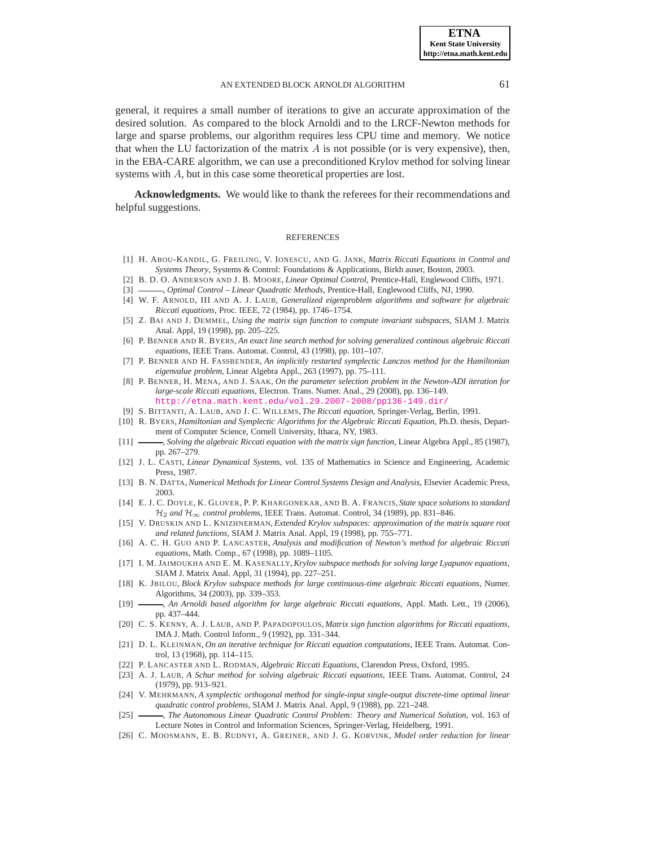#### AN EXTENDED BLOCK ARNOLDI ALGORITHM 61

general, it requires a small number of iterations to give an accurate approximation of the desired solution. As compared to the block Arnoldi and to the LRCF-Newton methods for large and sparse problems, our algorithm requires less CPU time and memory. We notice that when the LU factorization of the matrix  $\vec{A}$  is not possible (or is very expensive), then, in the EBA-CARE algorithm, we can use a preconditioned Krylov method for solving linear systems with A, but in this case some theoretical properties are lost.

**Acknowledgments.** We would like to thank the referees for their recommendations and helpful suggestions.

#### **REFERENCES**

- <span id="page-8-6"></span>[1] H. ABOU-KANDIL, G. FREILING, V. IONESCU, AND G. JANK, *Matrix Riccati Equations in Control and Systems Theory*, Systems & Control: Foundations & Applications, Birkh auser, Boston, 2003.
- <span id="page-8-1"></span><span id="page-8-0"></span>[2] B. D. O. ANDERSON AND J. B. MOORE, *Linear Optimal Control*, Prentice-Hall, Englewood Cliffs, 1971.
- <span id="page-8-16"></span>[3]  $\_\_\_\_\$ n, *Optimal Control – Linear Quadratic Methods*, Prentice-Hall, Englewood Cliffs, NJ, 1990.
- [4] W. F. ARNOLD, III AND A. J. LAUB, *Generalized eigenproblem algorithms and software for algebraic Riccati equations*, Proc. IEEE, 72 (1984), pp. 1746–1754.
- <span id="page-8-12"></span>[5] Z. BAI AND J. DEMMEL, *Using the matrix sign function to compute invariant subspaces*, SIAM J. Matrix Anal. Appl, 19 (1998), pp. 205–225.
- <span id="page-8-17"></span>[6] P. BENNER AND R. BYERS, *An exact line search method for solving generalized continous algebraic Riccati equations*, IEEE Trans. Automat. Control, 43 (1998), pp. 101–107.
- <span id="page-8-19"></span>[7] P. BENNER AND H. FASSBENDER, *An implicitly restarted symplectic Lanczos method for the Hamiltonian eigenvalue problem*, Linear Algebra Appl., 263 (1997), pp. 75–111.
- <span id="page-8-24"></span>[8] P. BENNER, H. MENA, AND J. SAAK, *On the parameter selection problem in the Newton-ADI iteration for large-scale Riccati equations*, Electron. Trans. Numer. Anal., 29 (2008), pp. 136–149. <http://etna.math.kent.edu/vol.29.2007-2008/pp136-149.dir/>
- <span id="page-8-2"></span>[9] S. BITTANTI, A. LAUB, AND J. C. WILLEMS, *The Riccati equation*, Springer-Verlag, Berlin, 1991.
- <span id="page-8-10"></span>[10] R. BYERS, *Hamiltonian and Symplectic Algorithms for the Algebraic Riccati Equation*, Ph.D. thesis, Department of Computer Science, Cornell University, Ithaca, NY, 1983.
- <span id="page-8-13"></span>[11] , *Solving the algebraic Riccati equation with the matrix sign function*, Linear Algebra Appl., 85 (1987), pp. 267–279.
- <span id="page-8-8"></span>[12] J. L. CASTI, *Linear Dynamical Systems*, vol. 135 of Mathematics in Science and Engineering, Academic Press, 1987.
- <span id="page-8-7"></span><span id="page-8-3"></span>[13] B. N. DATTA, *Numerical Methods for Linear Control Systems Design and Analysis*, Elsevier Academic Press, 2003.
- [14] E. J. C. DOYLE, K. GLOVER, P. P. KHARGONEKAR, AND B. A. FRANCIS, *State space solutions to standard* H<sup>2</sup> *and* H<sup>∞</sup> *control problems*, IEEE Trans. Automat. Control, 34 (1989), pp. 831–846.
- <span id="page-8-23"></span>[15] V. DRUSKIN AND L. KNIZHNERMAN, *Extended Krylov subspaces: approximation of the matrix square root and related functions*, SIAM J. Matrix Anal. Appl, 19 (1998), pp. 755–771.
- <span id="page-8-18"></span>[16] A. C. H. GUO AND P. LANCASTER, *Analysis and modification of Newton's method for algebraic Riccati equations*, Math. Comp., 67 (1998), pp. 1089–1105.
- <span id="page-8-20"></span>[17] I. M. JAIMOUKHA AND E. M. KASENALLY,*Krylov subspace methods for solving large Lyapunov equations*, SIAM J. Matrix Anal. Appl, 31 (1994), pp. 227–251.
- <span id="page-8-21"></span>[18] K. JBILOU, *Block Krylov subspace methods for large continuous-time algebraic Riccati equations*, Numer. Algorithms, 34 (2003), pp. 339–353.
- <span id="page-8-22"></span>[19] , *An Arnoldi based algorithm for large algebraic Riccati equations*, Appl. Math. Lett., 19 (2006), pp. 437–444.
- <span id="page-8-14"></span>[20] C. S. KENNY, A. J. LAUB, AND P. PAPADOPOULOS, *Matrix sign function algorithms for Riccati equations*, IMA J. Math. Control Inform., 9 (1992), pp. 331–344.
- <span id="page-8-15"></span>[21] D. L. KLEINMAN, *On an iterative technique for Riccati equation computations*, IEEE Trans. Automat. Control, 13 (1968), pp. 114–115.
- <span id="page-8-9"></span><span id="page-8-4"></span>[22] P. LANCASTER AND L. RODMAN, *Algebraic Riccati Equations*, Clarendon Press, Oxford, 1995.
- [23] A. J. LAUB, *A Schur method for solving algebraic Riccati equations*, IEEE Trans. Automat. Control, 24 (1979), pp. 913–921.
- <span id="page-8-11"></span>[24] V. MEHRMANN, *A symplectic orthogonal method for single-input single-output discrete-time optimal linear quadratic control problems*, SIAM J. Matrix Anal. Appl, 9 (1988), pp. 221–248.
- <span id="page-8-5"></span>[25] , *The Autonomous Linear Quadratic Control Problem: Theory and Numerical Solution*, vol. 163 of Lecture Notes in Control and Information Sciences, Springer-Verlag, Heidelberg, 1991.
- <span id="page-8-25"></span>[26] C. MOOSMANN, E. B. RUDNYI, A. GREINER, AND J. G. KORVINK, *Model order reduction for linear*